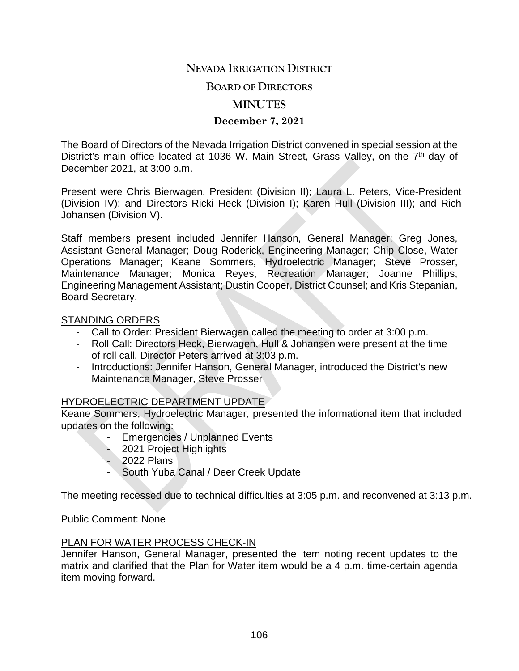# **NEVADA IRRIGATION DISTRICT**

#### **BOARD OF DIRECTORS**

## **MINUTES**

## **December 7, 2021**

The Board of Directors of the Nevada Irrigation District convened in special session at the District's main office located at 1036 W. Main Street, Grass Valley, on the 7<sup>th</sup> day of December 2021, at 3:00 p.m.

Present were Chris Bierwagen, President (Division II); Laura L. Peters, Vice-President (Division IV); and Directors Ricki Heck (Division I); Karen Hull (Division III); and Rich Johansen (Division V).

Staff members present included Jennifer Hanson, General Manager; Greg Jones, Assistant General Manager; Doug Roderick, Engineering Manager; Chip Close, Water Operations Manager; Keane Sommers, Hydroelectric Manager; Steve Prosser, Maintenance Manager; Monica Reyes, Recreation Manager; Joanne Phillips, Engineering Management Assistant; Dustin Cooper, District Counsel; and Kris Stepanian, Board Secretary.

#### STANDING ORDERS

- Call to Order: President Bierwagen called the meeting to order at 3:00 p.m.
- Roll Call: Directors Heck, Bierwagen, Hull & Johansen were present at the time of roll call. Director Peters arrived at 3:03 p.m.
- Introductions: Jennifer Hanson, General Manager, introduced the District's new Maintenance Manager, Steve Prosser

# HYDROELECTRIC DEPARTMENT UPDATE

Keane Sommers, Hydroelectric Manager, presented the informational item that included updates on the following:

- Emergencies / Unplanned Events
- 2021 Project Highlights
- 2022 Plans
- South Yuba Canal / Deer Creek Update

The meeting recessed due to technical difficulties at 3:05 p.m. and reconvened at 3:13 p.m.

Public Comment: None

## PLAN FOR WATER PROCESS CHECK-IN

Jennifer Hanson, General Manager, presented the item noting recent updates to the matrix and clarified that the Plan for Water item would be a 4 p.m. time-certain agenda item moving forward.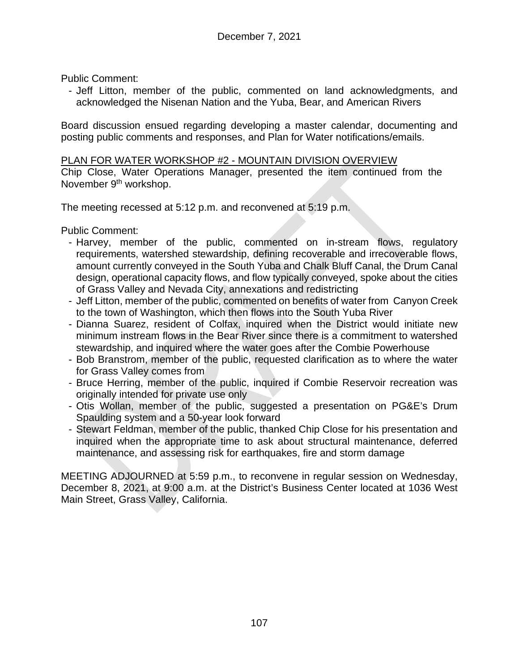Public Comment:

- Jeff Litton, member of the public, commented on land acknowledgments, and acknowledged the Nisenan Nation and the Yuba, Bear, and American Rivers

Board discussion ensued regarding developing a master calendar, documenting and posting public comments and responses, and Plan for Water notifications/emails.

#### PLAN FOR WATER WORKSHOP #2 - MOUNTAIN DIVISION OVERVIEW

Chip Close, Water Operations Manager, presented the item continued from the November 9<sup>th</sup> workshop.

The meeting recessed at 5:12 p.m. and reconvened at 5:19 p.m.

Public Comment:

- Harvey, member of the public, commented on in-stream flows, regulatory requirements, watershed stewardship, defining recoverable and irrecoverable flows, amount currently conveyed in the South Yuba and Chalk Bluff Canal, the Drum Canal design, operational capacity flows, and flow typically conveyed, spoke about the cities of Grass Valley and Nevada City, annexations and redistricting
- Jeff Litton, member of the public, commented on benefits of water from Canyon Creek to the town of Washington, which then flows into the South Yuba River
- Dianna Suarez, resident of Colfax, inquired when the District would initiate new minimum instream flows in the Bear River since there is a commitment to watershed stewardship, and inquired where the water goes after the Combie Powerhouse
- Bob Branstrom, member of the public, requested clarification as to where the water for Grass Valley comes from
- Bruce Herring, member of the public, inquired if Combie Reservoir recreation was originally intended for private use only
- Otis Wollan, member of the public, suggested a presentation on PG&E's Drum Spaulding system and a 50-year look forward
- Stewart Feldman, member of the public, thanked Chip Close for his presentation and inquired when the appropriate time to ask about structural maintenance, deferred maintenance, and assessing risk for earthquakes, fire and storm damage

MEETING ADJOURNED at 5:59 p.m., to reconvene in regular session on Wednesday, December 8, 2021, at 9:00 a.m. at the District's Business Center located at 1036 West Main Street, Grass Valley, California.